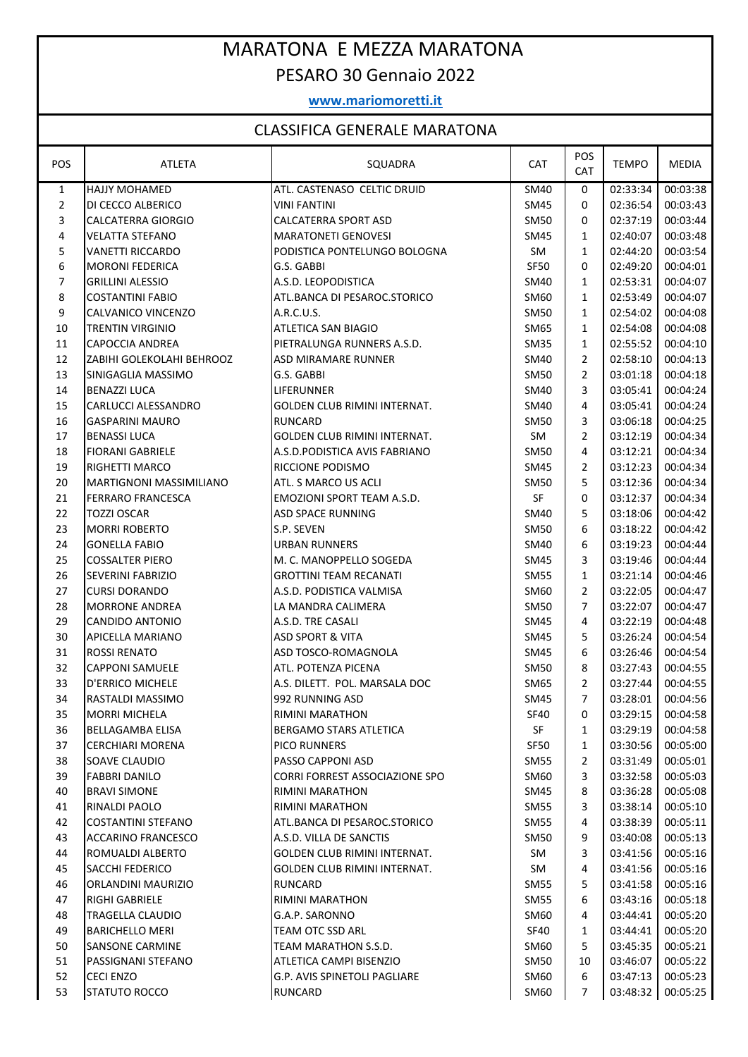## MARATONA E MEZZA MARATONA PESARO 30 Gennaio 2022

## **www.mariomoretti.it**

## CLASSIFICA GENERALE MARATONA

| <b>POSTER OLIVERALE IVIAIM LOIVA</b> |                                |                                       |             |                |              |              |
|--------------------------------------|--------------------------------|---------------------------------------|-------------|----------------|--------------|--------------|
| <b>POS</b>                           | <b>ATLETA</b>                  | SQUADRA                               | <b>CAT</b>  | POS<br>CAT     | <b>TEMPO</b> | <b>MEDIA</b> |
| $\mathbf{1}$                         | HAJJY MOHAMED                  | ATL. CASTENASO CELTIC DRUID           | SM40        | 0              | 02:33:34     | 00:03:38     |
| $\overline{2}$                       | DI CECCO ALBERICO              | <b>VINI FANTINI</b>                   | SM45        | 0              | 02:36:54     | 00:03:43     |
| 3                                    | CALCATERRA GIORGIO             | <b>CALCATERRA SPORT ASD</b>           | SM50        | 0              | 02:37:19     | 00:03:44     |
| 4                                    | <b>VELATTA STEFANO</b>         | <b>MARATONETI GENOVESI</b>            | SM45        | $\mathbf{1}$   | 02:40:07     | 00:03:48     |
| 5                                    | <b>VANETTI RICCARDO</b>        | PODISTICA PONTELUNGO BOLOGNA          | SM          | $\mathbf{1}$   | 02:44:20     | 00:03:54     |
| 6                                    | <b>MORONI FEDERICA</b>         | G.S. GABBI                            | <b>SF50</b> | 0              | 02:49:20     | 00:04:01     |
| $\overline{7}$                       | <b>GRILLINI ALESSIO</b>        | A.S.D. LEOPODISTICA                   | SM40        | $\mathbf{1}$   | 02:53:31     | 00:04:07     |
| 8                                    | <b>COSTANTINI FABIO</b>        | ATL.BANCA DI PESAROC.STORICO          | SM60        | $\mathbf{1}$   | 02:53:49     | 00:04:07     |
| 9                                    | CALVANICO VINCENZO             | A.R.C.U.S.                            | <b>SM50</b> | $\mathbf{1}$   | 02:54:02     | 00:04:08     |
| 10                                   | <b>TRENTIN VIRGINIO</b>        | ATLETICA SAN BIAGIO                   | SM65        | $\mathbf{1}$   | 02:54:08     | 00:04:08     |
| 11                                   | <b>CAPOCCIA ANDREA</b>         | PIETRALUNGA RUNNERS A.S.D.            | SM35        | $\mathbf{1}$   | 02:55:52     | 00:04:10     |
| 12                                   | ZABIHI GOLEKOLAHI BEHROOZ      | ASD MIRAMARE RUNNER                   | SM40        | $\overline{2}$ | 02:58:10     | 00:04:13     |
| 13                                   | SINIGAGLIA MASSIMO             | G.S. GABBI                            | SM50        | $\overline{2}$ | 03:01:18     | 00:04:18     |
| 14                                   | <b>BENAZZI LUCA</b>            | LIFERUNNER                            | SM40        | 3              | 03:05:41     | 00:04:24     |
| 15                                   | CARLUCCI ALESSANDRO            | <b>GOLDEN CLUB RIMINI INTERNAT.</b>   | SM40        | 4              | 03:05:41     | 00:04:24     |
| 16                                   | <b>GASPARINI MAURO</b>         | <b>RUNCARD</b>                        | SM50        | 3              | 03:06:18     | 00:04:25     |
| 17                                   | <b>BENASSI LUCA</b>            | GOLDEN CLUB RIMINI INTERNAT.          | SM          | $\overline{2}$ | 03:12:19     | 00:04:34     |
| 18                                   | <b>FIORANI GABRIELE</b>        | A.S.D. PODISTICA AVIS FABRIANO        | SM50        | 4              | 03:12:21     | 00:04:34     |
| 19                                   | <b>RIGHETTI MARCO</b>          | RICCIONE PODISMO                      | SM45        | $\overline{2}$ | 03:12:23     | 00:04:34     |
| 20                                   | <b>MARTIGNONI MASSIMILIANO</b> | ATL. S MARCO US ACLI                  | SM50        | 5              | 03:12:36     | 00:04:34     |
| 21                                   | <b>FERRARO FRANCESCA</b>       | <b>EMOZIONI SPORT TEAM A.S.D.</b>     | <b>SF</b>   | 0              | 03:12:37     | 00:04:34     |
| 22                                   | <b>TOZZI OSCAR</b>             | <b>ASD SPACE RUNNING</b>              | SM40        | 5              | 03:18:06     | 00:04:42     |
| 23                                   | <b>MORRI ROBERTO</b>           | S.P. SEVEN                            | <b>SM50</b> | 6              | 03:18:22     | 00:04:42     |
| 24                                   | <b>GONELLA FABIO</b>           | <b>URBAN RUNNERS</b>                  | SM40        | 6              | 03:19:23     | 00:04:44     |
| 25                                   | <b>COSSALTER PIERO</b>         | M. C. MANOPPELLO SOGEDA               | SM45        | 3              | 03:19:46     | 00:04:44     |
| 26                                   | SEVERINI FABRIZIO              | <b>GROTTINI TEAM RECANATI</b>         | <b>SM55</b> | $\mathbf{1}$   | 03:21:14     | 00:04:46     |
| 27                                   | <b>CURSI DORANDO</b>           | A.S.D. PODISTICA VALMISA              | SM60        | $\overline{2}$ | 03:22:05     | 00:04:47     |
| 28                                   | <b>MORRONE ANDREA</b>          | LA MANDRA CALIMERA                    | <b>SM50</b> | 7              | 03:22:07     | 00:04:47     |
| 29                                   | CANDIDO ANTONIO                | A.S.D. TRE CASALI                     | SM45        | 4              | 03:22:19     | 00:04:48     |
| 30                                   | APICELLA MARIANO               | ASD SPORT & VITA                      | SM45        | 5              | 03:26:24     | 00:04:54     |
| 31                                   | <b>ROSSI RENATO</b>            | ASD TOSCO-ROMAGNOLA                   | SM45        | 6              | 03:26:46     | 00:04:54     |
| 32                                   | <b>CAPPONI SAMUELE</b>         | ATL. POTENZA PICENA                   | SM50        | 8              | 03:27:43     | 00:04:55     |
| 33                                   | <b>D'ERRICO MICHELE</b>        | A.S. DILETT. POL. MARSALA DOC         | SM65        | $\overline{2}$ | 03:27:44     | 00:04:55     |
| 34                                   | RASTALDI MASSIMO               | 992 RUNNING ASD                       | SM45        | 7              | 03:28:01     | 00:04:56     |
| 35                                   | <b>MORRI MICHELA</b>           | RIMINI MARATHON                       | <b>SF40</b> | 0              | 03:29:15     | 00:04:58     |
| 36                                   | <b>BELLAGAMBA ELISA</b>        | <b>BERGAMO STARS ATLETICA</b>         | SF          | $\mathbf{1}$   | 03:29:19     | 00:04:58     |
| 37                                   | <b>CERCHIARI MORENA</b>        | PICO RUNNERS                          | <b>SF50</b> | $\mathbf{1}$   | 03:30:56     | 00:05:00     |
| 38                                   | SOAVE CLAUDIO                  | PASSO CAPPONI ASD                     | <b>SM55</b> | 2              | 03:31:49     | 00:05:01     |
| 39                                   | FABBRI DANILO                  | <b>CORRI FORREST ASSOCIAZIONE SPO</b> | SM60        | 3              | 03:32:58     | 00:05:03     |
| 40                                   | <b>BRAVI SIMONE</b>            | RIMINI MARATHON                       | SM45        | 8              | 03:36:28     | 00:05:08     |
| 41                                   | RINALDI PAOLO                  | RIMINI MARATHON                       | SM55        | 3              | 03:38:14     | 00:05:10     |
| 42                                   | <b>COSTANTINI STEFANO</b>      | ATL.BANCA DI PESAROC.STORICO          | <b>SM55</b> | 4              | 03:38:39     | 00:05:11     |
| 43                                   | ACCARINO FRANCESCO             | A.S.D. VILLA DE SANCTIS               | SM50        | 9              | 03:40:08     | 00:05:13     |
| 44                                   | ROMUALDI ALBERTO               | <b>GOLDEN CLUB RIMINI INTERNAT.</b>   | SM          | 3              | 03:41:56     | 00:05:16     |
| 45                                   | SACCHI FEDERICO                | GOLDEN CLUB RIMINI INTERNAT.          | SM          | 4              | 03:41:56     | 00:05:16     |
| 46                                   | ORLANDINI MAURIZIO             | RUNCARD                               | <b>SM55</b> | 5              | 03:41:58     | 00:05:16     |
| 47                                   | <b>RIGHI GABRIELE</b>          | RIMINI MARATHON                       | <b>SM55</b> | 6              | 03:43:16     | 00:05:18     |
| 48                                   | TRAGELLA CLAUDIO               | G.A.P. SARONNO                        | SM60        | 4              | 03:44:41     | 00:05:20     |
| 49                                   | <b>BARICHELLO MERI</b>         | TEAM OTC SSD ARL                      | SF40        | $\mathbf{1}$   | 03:44:41     | 00:05:20     |
| 50                                   | <b>SANSONE CARMINE</b>         | TEAM MARATHON S.S.D.                  | SM60        | 5              | 03:45:35     | 00:05:21     |
| 51                                   | PASSIGNANI STEFANO             | ATLETICA CAMPI BISENZIO               | SM50        | 10             | 03:46:07     | 00:05:22     |
| 52                                   | <b>CECI ENZO</b>               | <b>G.P. AVIS SPINETOLI PAGLIARE</b>   | SM60        | 6              | 03:47:13     | 00:05:23     |
| 53                                   | STATUTO ROCCO                  | <b>RUNCARD</b>                        | SM60        | $\overline{7}$ | 03:48:32     | 00:05:25     |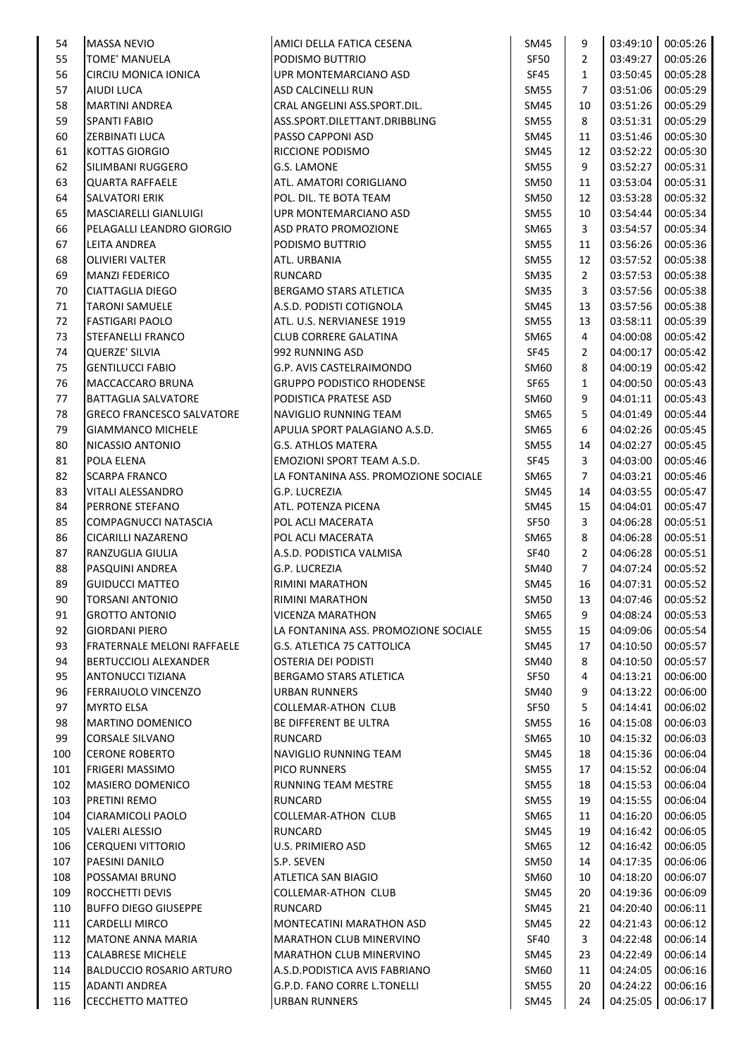| 54  | <b>MASSA NEVIO</b>                             | AMICI DELLA FATICA CESENA                    | SM45                | 9              | 03:49:10 | 00:05:26 |
|-----|------------------------------------------------|----------------------------------------------|---------------------|----------------|----------|----------|
| 55  | <b>TOME' MANUELA</b>                           | PODISMO BUTTRIO                              | SF50                | $\overline{2}$ | 03:49:27 | 00:05:26 |
| 56  | CIRCIU MONICA IONICA                           | UPR MONTEMARCIANO ASD                        | <b>SF45</b>         | $\mathbf{1}$   | 03:50:45 | 00:05:28 |
| 57  | <b>AIUDI LUCA</b>                              | <b>ASD CALCINELLI RUN</b>                    | <b>SM55</b>         | $\overline{7}$ | 03:51:06 | 00:05:29 |
| 58  | <b>MARTINI ANDREA</b>                          | CRAL ANGELINI ASS.SPORT.DIL.                 | SM45                | 10             | 03:51:26 | 00:05:29 |
| 59  | <b>SPANTI FABIO</b>                            | ASS.SPORT.DILETTANT.DRIBBLING                | <b>SM55</b>         | 8              | 03:51:31 | 00:05:29 |
| 60  | ZERBINATI LUCA                                 | PASSO CAPPONI ASD                            | <b>SM45</b>         | 11             | 03:51:46 | 00:05:30 |
| 61  | <b>KOTTAS GIORGIO</b>                          | RICCIONE PODISMO                             | SM45                | 12             | 03:52:22 | 00:05:30 |
| 62  | SILIMBANI RUGGERO                              | <b>G.S. LAMONE</b>                           | <b>SM55</b>         | 9              | 03:52:27 | 00:05:31 |
| 63  | <b>QUARTA RAFFAELE</b>                         | ATL. AMATORI CORIGLIANO                      | SM50                | 11             | 03:53:04 | 00:05:31 |
| 64  | <b>SALVATORI ERIK</b>                          | POL. DIL. TE BOTA TEAM                       | <b>SM50</b>         | 12             | 03:53:28 | 00:05:32 |
| 65  | <b>MASCIARELLI GIANLUIGI</b>                   | <b>UPR MONTEMARCIANO ASD</b>                 | <b>SM55</b>         | 10             | 03:54:44 | 00:05:34 |
| 66  | PELAGALLI LEANDRO GIORGIO                      | <b>ASD PRATO PROMOZIONE</b>                  | SM65                | 3              | 03:54:57 | 00:05:34 |
| 67  | LEITA ANDREA                                   | PODISMO BUTTRIO                              | <b>SM55</b>         | 11             | 03:56:26 | 00:05:36 |
| 68  | <b>OLIVIERI VALTER</b>                         | ATL. URBANIA                                 | SM55                | 12             | 03:57:52 | 00:05:38 |
| 69  | <b>MANZI FEDERICO</b>                          | <b>RUNCARD</b>                               | <b>SM35</b>         | $\overline{2}$ | 03:57:53 | 00:05:38 |
| 70  | <b>CIATTAGLIA DIEGO</b>                        | <b>BERGAMO STARS ATLETICA</b>                | <b>SM35</b>         | 3              | 03:57:56 | 00:05:38 |
| 71  | <b>TARONI SAMUELE</b>                          | A.S.D. PODISTI COTIGNOLA                     | SM45                | 13             | 03:57:56 | 00:05:38 |
| 72  | <b>FASTIGARI PAOLO</b>                         | ATL. U.S. NERVIANESE 1919                    | SM55                | 13             | 03:58:11 | 00:05:39 |
| 73  | <b>STEFANELLI FRANCO</b>                       | <b>CLUB CORRERE GALATINA</b>                 | SM65                | 4              | 04:00:08 | 00:05:42 |
| 74  | <b>QUERZE' SILVIA</b>                          | 992 RUNNING ASD                              | <b>SF45</b>         | $\overline{2}$ | 04:00:17 | 00:05:42 |
| 75  | <b>GENTILUCCI FABIO</b>                        | <b>G.P. AVIS CASTELRAIMONDO</b>              | SM60                | 8              | 04:00:19 | 00:05:42 |
| 76  | MACCACCARO BRUNA                               | <b>GRUPPO PODISTICO RHODENSE</b>             | SF65                | $\mathbf{1}$   | 04:00:50 | 00:05:43 |
| 77  | <b>BATTAGLIA SALVATORE</b>                     | PODISTICA PRATESE ASD                        | SM60                | 9              | 04:01:11 | 00:05:43 |
| 78  | <b>GRECO FRANCESCO SALVATORE</b>               | NAVIGLIO RUNNING TEAM                        | SM65                | 5              | 04:01:49 | 00:05:44 |
| 79  | <b>GIAMMANCO MICHELE</b>                       | APULIA SPORT PALAGIANO A.S.D.                | SM65                | 6              | 04:02:26 | 00:05:45 |
| 80  | NICASSIO ANTONIO                               | <b>G.S. ATHLOS MATERA</b>                    | <b>SM55</b>         | 14             | 04:02:27 | 00:05:45 |
| 81  | POLA ELENA                                     | EMOZIONI SPORT TEAM A.S.D.                   | <b>SF45</b>         | 3              | 04:03:00 | 00:05:46 |
| 82  | <b>SCARPA FRANCO</b>                           | LA FONTANINA ASS. PROMOZIONE SOCIALE         | SM65                | $\overline{7}$ | 04:03:21 | 00:05:46 |
| 83  | <b>VITALI ALESSANDRO</b>                       | G.P. LUCREZIA                                | <b>SM45</b>         | 14             | 04:03:55 | 00:05:47 |
| 84  | PERRONE STEFANO                                | ATL. POTENZA PICENA                          | <b>SM45</b>         | 15             | 04:04:01 | 00:05:47 |
| 85  | COMPAGNUCCI NATASCIA                           | POL ACLI MACERATA                            | <b>SF50</b>         | 3              | 04:06:28 | 00:05:51 |
| 86  | <b>CICARILLI NAZARENO</b>                      | POL ACLI MACERATA                            | SM65                | 8              | 04:06:28 | 00:05:51 |
| 87  | RANZUGLIA GIULIA                               | A.S.D. PODISTICA VALMISA                     | <b>SF40</b>         | $\overline{2}$ | 04:06:28 | 00:05:51 |
| 88  | PASQUINI ANDREA                                | <b>G.P. LUCREZIA</b>                         | SM40                | $\overline{7}$ | 04:07:24 | 00:05:52 |
| 89  | <b>GUIDUCCI MATTEO</b>                         | <b>RIMINI MARATHON</b>                       | <b>SM45</b>         | 16             | 04:07:31 | 00:05:52 |
| 90  | <b>TORSANI ANTONIO</b>                         | RIMINI MARATHON                              | <b>SM50</b>         | 13             | 04:07:46 | 00:05:52 |
| 91  | <b>GROTTO ANTONIO</b>                          | <b>VICENZA MARATHON</b>                      | SM65                | 9              | 04:08:24 | 00:05:53 |
| 92  | <b>GIORDANI PIERO</b>                          | LA FONTANINA ASS. PROMOZIONE SOCIALE         | <b>SM55</b>         | 15             | 04:09:06 | 00:05:54 |
| 93  | <b>FRATERNALE MELONI RAFFAELE</b>              | <b>G.S. ATLETICA 75 CATTOLICA</b>            | <b>SM45</b>         | 17             | 04:10:50 | 00:05:57 |
| 94  | <b>BERTUCCIOLI ALEXANDER</b>                   | <b>OSTERIA DEI PODISTI</b>                   | SM40                | 8              | 04:10:50 | 00:05:57 |
| 95  | <b>ANTONUCCI TIZIANA</b>                       | <b>BERGAMO STARS ATLETICA</b>                | SF50                | 4              | 04:13:21 | 00:06:00 |
| 96  | FERRAIUOLO VINCENZO                            | <b>URBAN RUNNERS</b>                         | SM40                | 9              | 04:13:22 | 00:06:00 |
| 97  | <b>MYRTO ELSA</b>                              | <b>COLLEMAR-ATHON CLUB</b>                   | SF50                | 5              | 04:14:41 | 00:06:02 |
| 98  | <b>MARTINO DOMENICO</b>                        | BE DIFFERENT BE ULTRA                        | <b>SM55</b>         | 16             | 04:15:08 | 00:06:03 |
| 99  | CORSALE SILVANO                                | <b>RUNCARD</b>                               | SM65                | 10             | 04:15:32 | 00:06:03 |
| 100 | <b>CERONE ROBERTO</b>                          | NAVIGLIO RUNNING TEAM                        | SM45                | 18             | 04:15:36 | 00:06:04 |
| 101 | <b>FRIGERI MASSIMO</b>                         | <b>PICO RUNNERS</b>                          | <b>SM55</b>         | 17             | 04:15:52 | 00:06:04 |
| 102 | MASIERO DOMENICO                               | RUNNING TEAM MESTRE                          | <b>SM55</b>         | 18             | 04:15:53 | 00:06:04 |
| 103 | PRETINI REMO                                   | <b>RUNCARD</b>                               | <b>SM55</b>         | 19             | 04:15:55 | 00:06:04 |
| 104 | CIARAMICOLI PAOLO                              | <b>COLLEMAR-ATHON CLUB</b>                   | SM65                | 11             | 04:16:20 | 00:06:05 |
| 105 | <b>VALERI ALESSIO</b>                          | RUNCARD                                      | SM45                | 19             | 04:16:42 | 00:06:05 |
| 106 | <b>CERQUENI VITTORIO</b>                       | U.S. PRIMIERO ASD                            | SM65                | 12             | 04:16:42 | 00:06:05 |
| 107 | PAESINI DANILO                                 | S.P. SEVEN                                   | <b>SM50</b>         | 14             | 04:17:35 | 00:06:06 |
| 108 | POSSAMAI BRUNO                                 | ATLETICA SAN BIAGIO                          | SM60                | 10             | 04:18:20 | 00:06:07 |
| 109 |                                                |                                              |                     |                | 04:19:36 | 00:06:09 |
| 110 | ROCCHETTI DEVIS<br><b>BUFFO DIEGO GIUSEPPE</b> | <b>COLLEMAR-ATHON CLUB</b><br><b>RUNCARD</b> | <b>SM45</b><br>SM45 | 20<br>21       | 04:20:40 | 00:06:11 |
|     |                                                |                                              |                     |                |          | 00:06:12 |
| 111 | <b>CARDELLI MIRCO</b>                          | MONTECATINI MARATHON ASD                     | SM45                | 22             | 04:21:43 |          |
| 112 | <b>MATONE ANNA MARIA</b>                       | <b>MARATHON CLUB MINERVINO</b>               | <b>SF40</b>         | $\mathbf{3}$   | 04:22:48 | 00:06:14 |
| 113 | <b>CALABRESE MICHELE</b>                       | MARATHON CLUB MINERVINO                      | <b>SM45</b>         | 23             | 04:22:49 | 00:06:14 |
| 114 | <b>BALDUCCIO ROSARIO ARTURO</b>                | A.S.D. PODISTICA AVIS FABRIANO               | SM60                | 11             | 04:24:05 | 00:06:16 |
| 115 | <b>ADANTI ANDREA</b>                           | G.P.D. FANO CORRE L.TONELLI                  | <b>SM55</b>         | 20             | 04:24:22 | 00:06:16 |
| 116 | <b>CECCHETTO MATTEO</b>                        | <b>URBAN RUNNERS</b>                         | SM45                | 24             | 04:25:05 | 00:06:17 |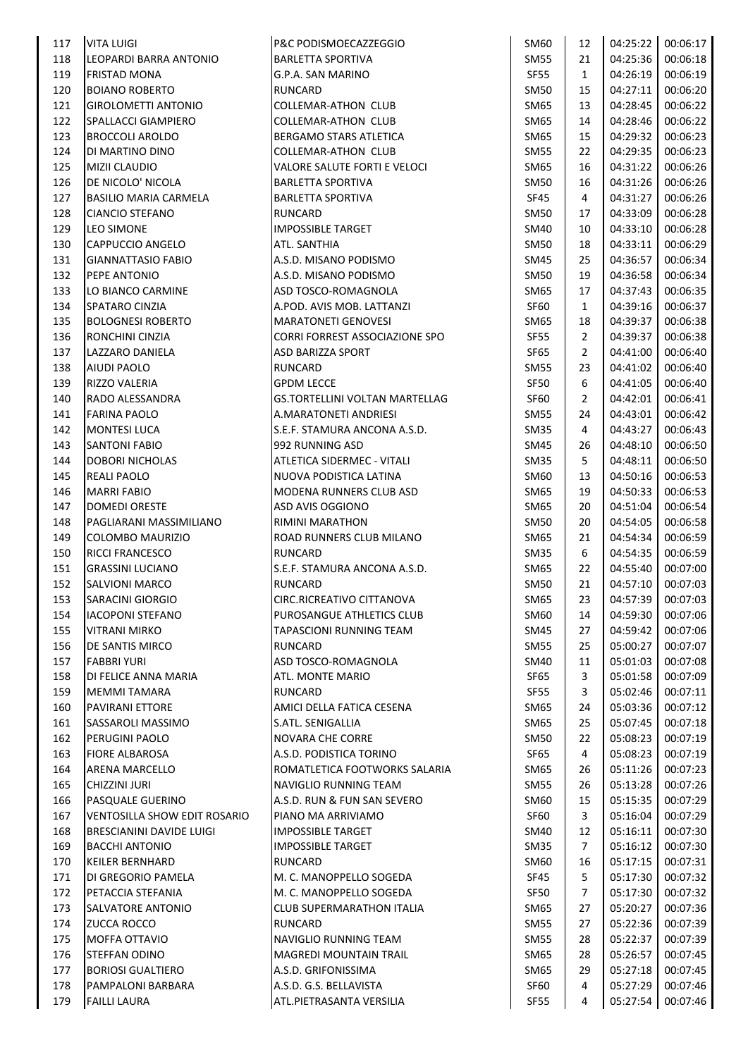| 117 | <b>VITA LUIGI</b>                      | P&C PODISMOECAZZEGGIO                 | SM60        | 12             | 04:25:22 | 00:06:17 |
|-----|----------------------------------------|---------------------------------------|-------------|----------------|----------|----------|
| 118 | LEOPARDI BARRA ANTONIO                 | <b>BARLETTA SPORTIVA</b>              | <b>SM55</b> | 21             | 04:25:36 | 00:06:18 |
| 119 | <b>FRISTAD MONA</b>                    | G.P.A. SAN MARINO                     | SF55        | $\mathbf{1}$   | 04:26:19 | 00:06:19 |
| 120 | <b>BOIANO ROBERTO</b>                  | <b>RUNCARD</b>                        | <b>SM50</b> | 15             | 04:27:11 | 00:06:20 |
| 121 | <b>GIROLOMETTI ANTONIO</b>             | <b>COLLEMAR-ATHON CLUB</b>            | SM65        | 13             | 04:28:45 | 00:06:22 |
| 122 | SPALLACCI GIAMPIERO                    | COLLEMAR-ATHON CLUB                   | SM65        | 14             | 04:28:46 | 00:06:22 |
| 123 | <b>BROCCOLI AROLDO</b>                 | BERGAMO STARS ATLETICA                | SM65        | 15             | 04:29:32 | 00:06:23 |
| 124 | DI MARTINO DINO                        | <b>COLLEMAR-ATHON CLUB</b>            | <b>SM55</b> | 22             | 04:29:35 | 00:06:23 |
| 125 | <b>MIZII CLAUDIO</b>                   | VALORE SALUTE FORTI E VELOCI          | SM65        | 16             | 04:31:22 | 00:06:26 |
| 126 | DE NICOLO' NICOLA                      | <b>BARLETTA SPORTIVA</b>              | <b>SM50</b> | 16             | 04:31:26 | 00:06:26 |
| 127 | <b>BASILIO MARIA CARMELA</b>           | <b>BARLETTA SPORTIVA</b>              | SF45        | 4              | 04:31:27 | 00:06:26 |
| 128 | <b>CIANCIO STEFANO</b>                 | RUNCARD                               | SM50        | 17             | 04:33:09 | 00:06:28 |
| 129 | <b>LEO SIMONE</b>                      | <b>IMPOSSIBLE TARGET</b>              | SM40        | 10             | 04:33:10 | 00:06:28 |
| 130 | CAPPUCCIO ANGELO                       | <b>ATL. SANTHIA</b>                   | <b>SM50</b> | 18             | 04:33:11 | 00:06:29 |
| 131 | <b>GIANNATTASIO FABIO</b>              | A.S.D. MISANO PODISMO                 | SM45        | 25             | 04:36:57 | 00:06:34 |
| 132 | PEPE ANTONIO                           | A.S.D. MISANO PODISMO                 | <b>SM50</b> | 19             | 04:36:58 | 00:06:34 |
| 133 | LO BIANCO CARMINE                      | ASD TOSCO-ROMAGNOLA                   | SM65        | 17             | 04:37:43 | 00:06:35 |
| 134 | SPATARO CINZIA                         | A.POD. AVIS MOB. LATTANZI             | SF60        | $\mathbf{1}$   | 04:39:16 | 00:06:37 |
| 135 | <b>BOLOGNESI ROBERTO</b>               | <b>MARATONETI GENOVESI</b>            | SM65        | 18             | 04:39:37 | 00:06:38 |
| 136 | RONCHINI CINZIA                        | <b>CORRI FORREST ASSOCIAZIONE SPO</b> | SF55        | $\overline{2}$ | 04:39:37 | 00:06:38 |
| 137 | LAZZARO DANIELA                        | <b>ASD BARIZZA SPORT</b>              | SF65        | $\overline{2}$ | 04:41:00 | 00:06:40 |
| 138 | AIUDI PAOLO                            | RUNCARD                               | <b>SM55</b> | 23             | 04:41:02 | 00:06:40 |
| 139 | <b>RIZZO VALERIA</b>                   | <b>GPDM LECCE</b>                     | SF50        | 6              | 04:41:05 | 00:06:40 |
| 140 | RADO ALESSANDRA                        | <b>GS.TORTELLINI VOLTAN MARTELLAG</b> | SF60        | $\overline{2}$ | 04:42:01 | 00:06:41 |
| 141 | <b>FARINA PAOLO</b>                    | A.MARATONETI ANDRIESI                 | <b>SM55</b> | 24             | 04:43:01 | 00:06:42 |
| 142 | <b>MONTESI LUCA</b>                    | S.E.F. STAMURA ANCONA A.S.D.          | <b>SM35</b> | 4              | 04:43:27 | 00:06:43 |
| 143 | <b>SANTONI FABIO</b>                   | 992 RUNNING ASD                       | SM45        | 26             | 04:48:10 | 00:06:50 |
| 144 | <b>DOBORI NICHOLAS</b>                 | ATLETICA SIDERMEC - VITALI            | <b>SM35</b> | 5              | 04:48:11 | 00:06:50 |
| 145 | <b>REALI PAOLO</b>                     | NUOVA PODISTICA LATINA                | SM60        | 13             | 04:50:16 | 00:06:53 |
| 146 | <b>MARRI FABIO</b>                     | MODENA RUNNERS CLUB ASD               | SM65        | 19             | 04:50:33 | 00:06:53 |
| 147 | <b>DOMEDI ORESTE</b>                   | ASD AVIS OGGIONO                      | SM65        | 20             | 04:51:04 | 00:06:54 |
| 148 | PAGLIARANI MASSIMILIANO                | <b>RIMINI MARATHON</b>                | SM50        | 20             | 04:54:05 | 00:06:58 |
| 149 | COLOMBO MAURIZIO                       | ROAD RUNNERS CLUB MILANO              | SM65        | 21             | 04:54:34 | 00:06:59 |
| 150 | RICCI FRANCESCO                        | <b>RUNCARD</b>                        | <b>SM35</b> | 6              | 04:54:35 | 00:06:59 |
| 151 | <b>GRASSINI LUCIANO</b>                | S.E.F. STAMURA ANCONA A.S.D.          | SM65        | 22             | 04:55:40 | 00:07:00 |
| 152 | <b>SALVIONI MARCO</b>                  | <b>RUNCARD</b>                        | <b>SM50</b> | 21             | 04:57:10 | 00:07:03 |
| 153 | SARACINI GIORGIO                       | CIRC.RICREATIVO CITTANOVA             | <b>SM65</b> | 23             | 04:57:39 | 00:07:03 |
| 154 | <b>IACOPONI STEFANO</b>                | PUROSANGUE ATHLETICS CLUB             | SM60        | 14             | 04:59:30 | 00:07:06 |
| 155 | <b>VITRANI MIRKO</b>                   | TAPASCIONI RUNNING TEAM               | <b>SM45</b> | 27             | 04:59:42 | 00:07:06 |
| 156 | DE SANTIS MIRCO                        | RUNCARD                               | <b>SM55</b> | 25             | 05:00:27 | 00:07:07 |
| 157 | <b>FABBRI YURI</b>                     | ASD TOSCO-ROMAGNOLA                   | SM40        | 11             | 05:01:03 | 00:07:08 |
| 158 | DI FELICE ANNA MARIA                   | ATL. MONTE MARIO                      | SF65        | 3              | 05:01:58 | 00:07:09 |
| 159 | <b>MEMMI TAMARA</b>                    | <b>RUNCARD</b>                        | SF55        | 3              | 05:02:46 | 00:07:11 |
| 160 | <b>PAVIRANI ETTORE</b>                 | AMICI DELLA FATICA CESENA             | SM65        | 24             | 05:03:36 | 00:07:12 |
| 161 | SASSAROLI MASSIMO                      | S.ATL. SENIGALLIA                     | SM65        | 25             | 05:07:45 | 00:07:18 |
| 162 | <b>PERUGINI PAOLO</b>                  | NOVARA CHE CORRE                      | <b>SM50</b> | 22             | 05:08:23 | 00:07:19 |
| 163 | <b>FIORE ALBAROSA</b>                  | A.S.D. PODISTICA TORINO               | SF65        | 4              | 05:08:23 | 00:07:19 |
| 164 | ARENA MARCELLO                         | ROMATLETICA FOOTWORKS SALARIA         | SM65        | 26             | 05:11:26 | 00:07:23 |
| 165 | <b>CHIZZINI JURI</b>                   | NAVIGLIO RUNNING TEAM                 | <b>SM55</b> | 26             | 05:13:28 | 00:07:26 |
| 166 | <b>PASQUALE GUERINO</b>                | A.S.D. RUN & FUN SAN SEVERO           | SM60        | 15             | 05:15:35 | 00:07:29 |
| 167 | <b>VENTOSILLA SHOW EDIT ROSARIO</b>    | PIANO MA ARRIVIAMO                    | SF60        | 3              | 05:16:04 | 00:07:29 |
| 168 | <b>BRESCIANINI DAVIDE LUIGI</b>        | <b>IMPOSSIBLE TARGET</b>              | <b>SM40</b> | 12             | 05:16:11 | 00:07:30 |
| 169 | <b>BACCHI ANTONIO</b>                  | <b>IMPOSSIBLE TARGET</b>              | <b>SM35</b> | $\overline{7}$ | 05:16:12 | 00:07:30 |
| 170 | <b>KEILER BERNHARD</b>                 | <b>RUNCARD</b>                        | SM60        | 16             | 05:17:15 | 00:07:31 |
|     |                                        |                                       |             |                |          |          |
| 171 | DI GREGORIO PAMELA                     | M. C. MANOPPELLO SOGEDA               | SF45        | 5              | 05:17:30 | 00:07:32 |
| 172 | PETACCIA STEFANIA<br>SALVATORE ANTONIO | M. C. MANOPPELLO SOGEDA               | <b>SF50</b> | $\overline{7}$ | 05:17:30 | 00:07:32 |
| 173 |                                        | <b>CLUB SUPERMARATHON ITALIA</b>      | SM65        | 27             | 05:20:27 | 00:07:36 |
| 174 | <b>ZUCCA ROCCO</b>                     | <b>RUNCARD</b>                        | <b>SM55</b> | 27             | 05:22:36 | 00:07:39 |
| 175 | MOFFA OTTAVIO                          | NAVIGLIO RUNNING TEAM                 | <b>SM55</b> | 28             | 05:22:37 | 00:07:39 |
| 176 | STEFFAN ODINO                          | <b>MAGREDI MOUNTAIN TRAIL</b>         | SM65        | 28             | 05:26:57 | 00:07:45 |
| 177 | <b>BORIOSI GUALTIERO</b>               | A.S.D. GRIFONISSIMA                   | SM65        | 29             | 05:27:18 | 00:07:45 |
| 178 | PAMPALONI BARBARA                      | A.S.D. G.S. BELLAVISTA                | SF60        | 4              | 05:27:29 | 00:07:46 |
| 179 | <b>FAILLI LAURA</b>                    | ATL.PIETRASANTA VERSILIA              | SF55        | $\overline{4}$ | 05:27:54 | 00:07:46 |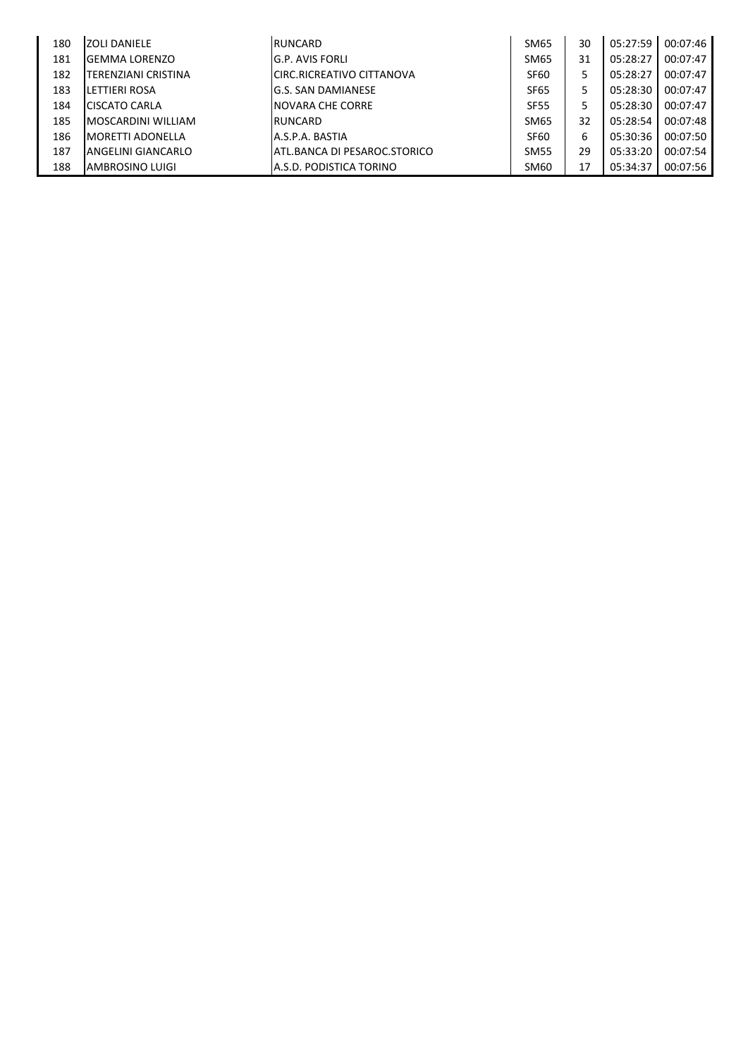| 180 | <b>ZOLI DANIELE</b>       | RUNCARD                            | <b>SM65</b> | 30 | 05:27:59 | 00:07:46 |
|-----|---------------------------|------------------------------------|-------------|----|----------|----------|
| 181 | <b>GEMMA LORENZO</b>      | G.P. AVIS FORLI                    | <b>SM65</b> | 31 | 05:28:27 | 00:07:47 |
| 182 | TERENZIANI CRISTINA       | <b>I</b> CIRC.RICREATIVO CITTANOVA | <b>SF60</b> | 5  | 05:28:27 | 00:07:47 |
| 183 | LETTIERI ROSA             | lG.S. SAN DAMIANESE                | <b>SF65</b> | 5  | 05:28:30 | 00:07:47 |
| 184 | <b>CISCATO CARLA</b>      | <b>INOVARA CHE CORRE</b>           | <b>SF55</b> | 5  | 05:28:30 | 00:07:47 |
| 185 | <b>MOSCARDINI WILLIAM</b> | RUNCARD                            | <b>SM65</b> | 32 | 05:28:54 | 00:07:48 |
| 186 | <b>IMORETTI ADONELLA</b>  | A.S.P.A. BASTIA                    | <b>SF60</b> | 6  | 05:30:36 | 00:07:50 |
| 187 | ANGELINI GIANCARLO        | ATL.BANCA DI PESAROC.STORICO       | <b>SM55</b> | 29 | 05:33:20 | 00:07:54 |
| 188 | AMBROSINO LUIGI           | A.S.D. PODISTICA TORINO            | <b>SM60</b> | 17 | 05:34:37 | 00:07:56 |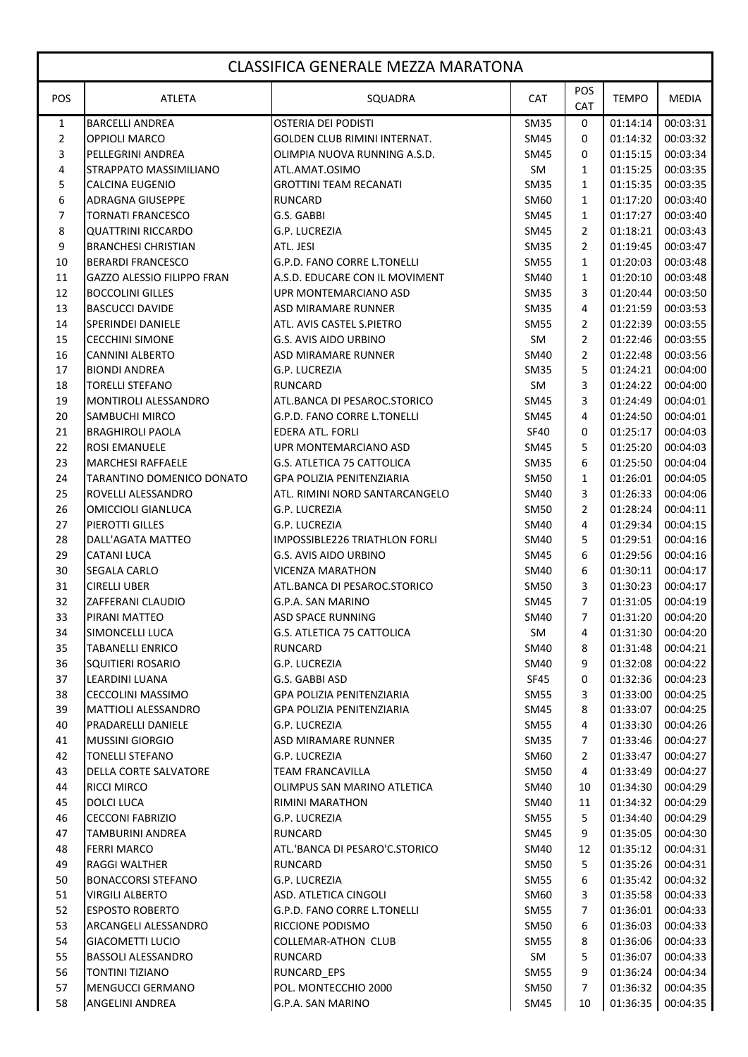|              | <b>CLASSIFICA GENERALE MEZZA MARATONA</b> |                                                        |             |                   |                      |                      |  |  |
|--------------|-------------------------------------------|--------------------------------------------------------|-------------|-------------------|----------------------|----------------------|--|--|
| POS          | <b>ATLETA</b>                             | SQUADRA                                                | <b>CAT</b>  | POS<br><b>CAT</b> | <b>TEMPO</b>         | <b>MEDIA</b>         |  |  |
| $\mathbf{1}$ | <b>BARCELLI ANDREA</b>                    | <b>OSTERIA DEI PODISTI</b>                             | <b>SM35</b> | 0                 | 01:14:14             | 00:03:31             |  |  |
| 2            | <b>OPPIOLI MARCO</b>                      | GOLDEN CLUB RIMINI INTERNAT.                           | <b>SM45</b> | 0                 | 01:14:32             | 00:03:32             |  |  |
| 3            | PELLEGRINI ANDREA                         | OLIMPIA NUOVA RUNNING A.S.D.                           | SM45        | 0                 | 01:15:15             | 00:03:34             |  |  |
| 4            | STRAPPATO MASSIMILIANO                    | ATL.AMAT.OSIMO                                         | SM.         | $\mathbf{1}$      | 01:15:25             | 00:03:35             |  |  |
| 5            | <b>CALCINA EUGENIO</b>                    | <b>GROTTINI TEAM RECANATI</b>                          | <b>SM35</b> | $\mathbf{1}$      | 01:15:35             | 00:03:35             |  |  |
| 6            | <b>ADRAGNA GIUSEPPE</b>                   | <b>RUNCARD</b>                                         | SM60        | $\mathbf{1}$      | 01:17:20             | 00:03:40             |  |  |
| 7            | <b>TORNATI FRANCESCO</b>                  | G.S. GABBI                                             | SM45        | $\mathbf{1}$      | 01:17:27             | 00:03:40             |  |  |
| 8            | <b>QUATTRINI RICCARDO</b>                 | G.P. LUCREZIA                                          | <b>SM45</b> | $\overline{2}$    | 01:18:21             | 00:03:43             |  |  |
| 9            | <b>BRANCHESI CHRISTIAN</b>                | ATL. JESI                                              | <b>SM35</b> | 2                 | 01:19:45             | 00:03:47             |  |  |
| 10           | <b>BERARDI FRANCESCO</b>                  | G.P.D. FANO CORRE L.TONELLI                            | <b>SM55</b> | $\mathbf{1}$      | 01:20:03             | 00:03:48             |  |  |
| 11           | GAZZO ALESSIO FILIPPO FRAN                | A.S.D. EDUCARE CON IL MOVIMENT                         | <b>SM40</b> | $\mathbf{1}$      | 01:20:10             | 00:03:48             |  |  |
| 12           | <b>BOCCOLINI GILLES</b>                   | UPR MONTEMARCIANO ASD                                  | <b>SM35</b> | 3                 | 01:20:44             | 00:03:50             |  |  |
| 13           | <b>BASCUCCI DAVIDE</b>                    | <b>ASD MIRAMARE RUNNER</b>                             | <b>SM35</b> | 4                 | 01:21:59             | 00:03:53             |  |  |
| 14           | <b>SPERINDEI DANIELE</b>                  | ATL. AVIS CASTEL S.PIETRO                              | <b>SM55</b> | $\overline{2}$    | 01:22:39             | 00:03:55             |  |  |
| 15           | <b>CECCHINI SIMONE</b>                    | <b>G.S. AVIS AIDO URBINO</b>                           | <b>SM</b>   | 2                 | 01:22:46             | 00:03:55             |  |  |
| 16           | <b>CANNINI ALBERTO</b>                    | <b>ASD MIRAMARE RUNNER</b>                             | SM40        | $\overline{2}$    | 01:22:48             | 00:03:56             |  |  |
| 17           | <b>BIONDI ANDREA</b>                      | G.P. LUCREZIA                                          | <b>SM35</b> | 5                 | 01:24:21             | 00:04:00             |  |  |
| 18           | <b>TORELLI STEFANO</b>                    | <b>RUNCARD</b>                                         | <b>SM</b>   | 3                 | 01:24:22             | 00:04:00             |  |  |
| 19           | MONTIROLI ALESSANDRO                      | ATL.BANCA DI PESAROC.STORICO                           | <b>SM45</b> | 3                 | 01:24:49             | 00:04:01             |  |  |
| 20           | <b>SAMBUCHI MIRCO</b>                     | G.P.D. FANO CORRE L.TONELLI                            | SM45        | 4                 | 01:24:50             | 00:04:01             |  |  |
| 21           | <b>BRAGHIROLI PAOLA</b>                   | <b>EDERA ATL. FORLI</b>                                | <b>SF40</b> | 0                 | 01:25:17             | 00:04:03             |  |  |
| 22           | <b>ROSI EMANUELE</b>                      | UPR MONTEMARCIANO ASD                                  | SM45        | 5                 | 01:25:20             | 00:04:03             |  |  |
| 23           | <b>MARCHESI RAFFAELE</b>                  | <b>G.S. ATLETICA 75 CATTOLICA</b>                      | <b>SM35</b> | 6                 | 01:25:50             | 00:04:04             |  |  |
| 24           | TARANTINO DOMENICO DONATO                 | <b>GPA POLIZIA PENITENZIARIA</b>                       | <b>SM50</b> | $\mathbf{1}$      | 01:26:01             | 00:04:05             |  |  |
| 25           | ROVELLI ALESSANDRO                        | ATL. RIMINI NORD SANTARCANGELO                         | SM40        | 3                 | 01:26:33             | 00:04:06             |  |  |
| 26           | OMICCIOLI GIANLUCA                        | G.P. LUCREZIA                                          | <b>SM50</b> | $\overline{2}$    | 01:28:24             | 00:04:11             |  |  |
| 27           | PIEROTTI GILLES                           | <b>G.P. LUCREZIA</b>                                   | SM40        | 4                 | 01:29:34             | 00:04:15             |  |  |
| 28           | DALL'AGATA MATTEO                         | <b>IMPOSSIBLE226 TRIATHLON FORLI</b>                   | SM40        | 5                 | 01:29:51             | 00:04:16             |  |  |
| 29           | <b>CATANI LUCA</b>                        | <b>G.S. AVIS AIDO URBINO</b>                           | <b>SM45</b> | 6                 | 01:29:56             | 00:04:16             |  |  |
| 30           | <b>SEGALA CARLO</b>                       | <b>VICENZA MARATHON</b>                                | SM40        | 6                 | 01:30:11             | 00:04:17             |  |  |
| 31<br>32     | <b>CIRELLI UBER</b>                       | ATL.BANCA DI PESAROC.STORICO                           | <b>SM50</b> | 3                 | 01:30:23             | 00:04:17             |  |  |
|              | ZAFFERANI CLAUDIO                         | G.P.A. SAN MARINO                                      | <b>SM45</b> | 7                 | 01:31:05             | 00:04:19             |  |  |
| 33<br>34     | PIRANI MATTEO<br>SIMONCELLI LUCA          | ASD SPACE RUNNING<br><b>G.S. ATLETICA 75 CATTOLICA</b> | SM40        | 7                 | 01:31:20             | 00:04:20             |  |  |
| 35           | <b>TABANELLI ENRICO</b>                   | <b>RUNCARD</b>                                         | SM<br>SM40  | 4<br>8            | 01:31:30<br>01:31:48 | 00:04:20<br>00:04:21 |  |  |
| 36           | SQUITIERI ROSARIO                         | G.P. LUCREZIA                                          | SM40        | 9                 | 01:32:08             | 00:04:22             |  |  |
| 37           | LEARDINI LUANA                            | G.S. GABBI ASD                                         | SF45        | 0                 | 01:32:36             | 00:04:23             |  |  |
| 38           | <b>CECCOLINI MASSIMO</b>                  | <b>GPA POLIZIA PENITENZIARIA</b>                       | <b>SM55</b> | 3                 | 01:33:00             | 00:04:25             |  |  |
| 39           | <b>MATTIOLI ALESSANDRO</b>                | <b>GPA POLIZIA PENITENZIARIA</b>                       | SM45        | 8                 | 01:33:07             | 00:04:25             |  |  |
| 40           | PRADARELLI DANIELE                        | G.P. LUCREZIA                                          | <b>SM55</b> | 4                 | 01:33:30             | 00:04:26             |  |  |
| 41           | <b>MUSSINI GIORGIO</b>                    | <b>ASD MIRAMARE RUNNER</b>                             | SM35        | 7                 | 01:33:46             | 00:04:27             |  |  |
| 42           | <b>TONELLI STEFANO</b>                    | <b>G.P. LUCREZIA</b>                                   | SM60        | 2                 | 01:33:47             | 00:04:27             |  |  |
| 43           | <b>DELLA CORTE SALVATORE</b>              | TEAM FRANCAVILLA                                       | SM50        | 4                 | 01:33:49             | 00:04:27             |  |  |
| 44           | <b>RICCI MIRCO</b>                        | OLIMPUS SAN MARINO ATLETICA                            | SM40        | 10                | 01:34:30             | 00:04:29             |  |  |
| 45           | <b>DOLCI LUCA</b>                         | <b>RIMINI MARATHON</b>                                 | SM40        | 11                | 01:34:32             | 00:04:29             |  |  |
| 46           | <b>CECCONI FABRIZIO</b>                   | <b>G.P. LUCREZIA</b>                                   | <b>SM55</b> | 5                 | 01:34:40             | 00:04:29             |  |  |
| 47           | <b>TAMBURINI ANDREA</b>                   | RUNCARD                                                | SM45        | 9                 | 01:35:05             | 00:04:30             |  |  |
| 48           | <b>FERRI MARCO</b>                        | ATL.'BANCA DI PESARO'C.STORICO                         | SM40        | 12                | 01:35:12             | 00:04:31             |  |  |
| 49           | RAGGI WALTHER                             | <b>RUNCARD</b>                                         | <b>SM50</b> | 5.                | 01:35:26             | 00:04:31             |  |  |
| 50           | <b>BONACCORSI STEFANO</b>                 | G.P. LUCREZIA                                          | <b>SM55</b> | 6                 | 01:35:42             | 00:04:32             |  |  |
| 51           | <b>VIRGILI ALBERTO</b>                    | ASD. ATLETICA CINGOLI                                  | SM60        | 3                 | 01:35:58             | 00:04:33             |  |  |
| 52           | <b>ESPOSTO ROBERTO</b>                    | G.P.D. FANO CORRE L.TONELLI                            | <b>SM55</b> | 7                 | 01:36:01             | 00:04:33             |  |  |
| 53           | ARCANGELI ALESSANDRO                      | RICCIONE PODISMO                                       | SM50        | 6                 | 01:36:03             | 00:04:33             |  |  |
| 54           | <b>GIACOMETTI LUCIO</b>                   | <b>COLLEMAR-ATHON CLUB</b>                             | <b>SM55</b> | 8                 | 01:36:06             | 00:04:33             |  |  |
| 55           | <b>BASSOLI ALESSANDRO</b>                 | <b>RUNCARD</b>                                         | SM          | 5.                | 01:36:07             | 00:04:33             |  |  |
| 56           | <b>TONTINI TIZIANO</b>                    | <b>RUNCARD EPS</b>                                     | SM55        | 9                 | 01:36:24             | 00:04:34             |  |  |
| 57           | <b>MENGUCCI GERMANO</b>                   | POL. MONTECCHIO 2000                                   | SM50        | 7                 | 01:36:32             | 00:04:35             |  |  |
| 58           | ANGELINI ANDREA                           | G.P.A. SAN MARINO                                      | SM45        | 10                | 01:36:35             | 00:04:35             |  |  |
|              |                                           |                                                        |             |                   |                      |                      |  |  |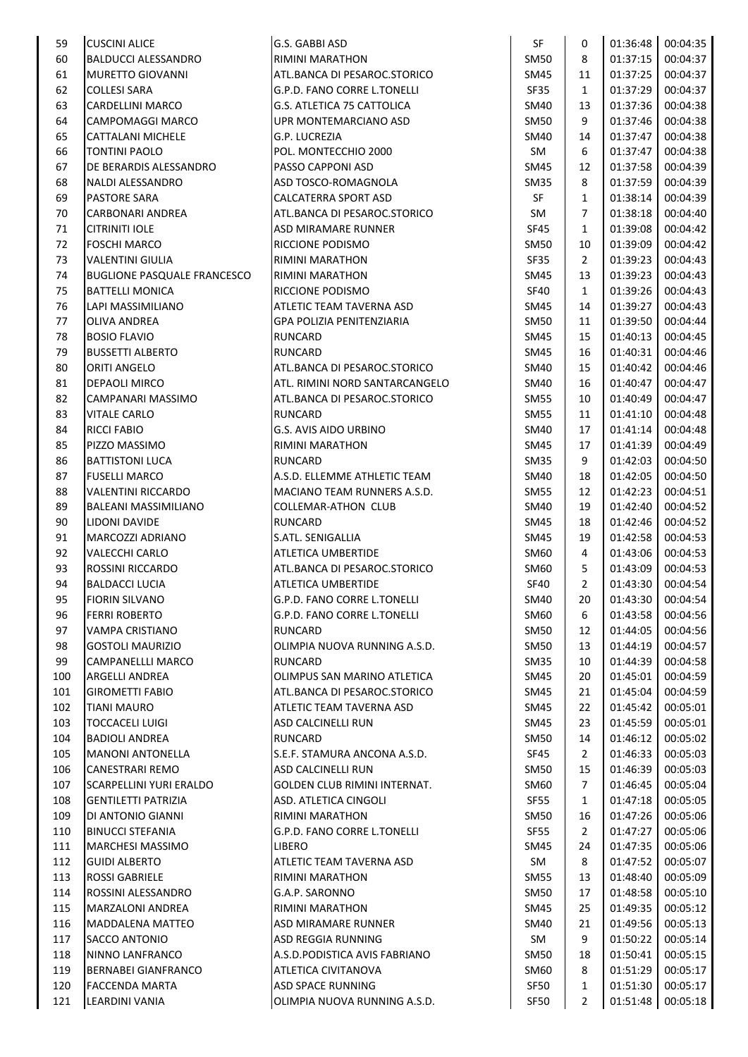| 59  | <b>CUSCINI ALICE</b>               | G.S. GABBI ASD                     | SF          | 0              | 01:36:48 | 00:04:35 |
|-----|------------------------------------|------------------------------------|-------------|----------------|----------|----------|
| 60  | <b>BALDUCCI ALESSANDRO</b>         | <b>RIMINI MARATHON</b>             | SM50        | 8              | 01:37:15 | 00:04:37 |
| 61  | <b>MURETTO GIOVANNI</b>            | ATL.BANCA DI PESAROC.STORICO       | SM45        | 11             | 01:37:25 | 00:04:37 |
| 62  | <b>COLLESI SARA</b>                | G.P.D. FANO CORRE L.TONELLI        | <b>SF35</b> | $\mathbf{1}$   | 01:37:29 | 00:04:37 |
| 63  | CARDELLINI MARCO                   | G.S. ATLETICA 75 CATTOLICA         | SM40        | 13             | 01:37:36 | 00:04:38 |
| 64  | CAMPOMAGGI MARCO                   | UPR MONTEMARCIANO ASD              | <b>SM50</b> | 9              | 01:37:46 | 00:04:38 |
| 65  | <b>CATTALANI MICHELE</b>           | <b>G.P. LUCREZIA</b>               | SM40        | 14             | 01:37:47 | 00:04:38 |
| 66  | <b>TONTINI PAOLO</b>               | POL. MONTECCHIO 2000               | SM          | 6              | 01:37:47 | 00:04:38 |
| 67  | DE BERARDIS ALESSANDRO             | PASSO CAPPONI ASD                  | SM45        | 12             | 01:37:58 | 00:04:39 |
| 68  | NALDI ALESSANDRO                   | ASD TOSCO-ROMAGNOLA                | SM35        | 8              | 01:37:59 | 00:04:39 |
| 69  | <b>PASTORE SARA</b>                | <b>CALCATERRA SPORT ASD</b>        | SF          | $\mathbf{1}$   | 01:38:14 | 00:04:39 |
| 70  | <b>CARBONARI ANDREA</b>            | ATL.BANCA DI PESAROC.STORICO       | SM          | $\overline{7}$ | 01:38:18 | 00:04:40 |
| 71  | <b>CITRINITI IOLE</b>              | <b>ASD MIRAMARE RUNNER</b>         | <b>SF45</b> | $\mathbf{1}$   | 01:39:08 | 00:04:42 |
| 72  | <b>FOSCHI MARCO</b>                | <b>RICCIONE PODISMO</b>            | SM50        | 10             | 01:39:09 | 00:04:42 |
| 73  | <b>VALENTINI GIULIA</b>            | <b>RIMINI MARATHON</b>             | <b>SF35</b> | $\overline{2}$ | 01:39:23 | 00:04:43 |
| 74  | <b>BUGLIONE PASQUALE FRANCESCO</b> | <b>RIMINI MARATHON</b>             | SM45        | 13             | 01:39:23 | 00:04:43 |
| 75  | <b>BATTELLI MONICA</b>             | <b>RICCIONE PODISMO</b>            | SF40        | $\mathbf{1}$   | 01:39:26 | 00:04:43 |
| 76  | LAPI MASSIMILIANO                  | ATLETIC TEAM TAVERNA ASD           | SM45        | 14             | 01:39:27 | 00:04:43 |
| 77  | OLIVA ANDREA                       | <b>GPA POLIZIA PENITENZIARIA</b>   | SM50        | 11             | 01:39:50 | 00:04:44 |
| 78  | <b>BOSIO FLAVIO</b>                | <b>RUNCARD</b>                     | SM45        | 15             | 01:40:13 | 00:04:45 |
| 79  | <b>BUSSETTI ALBERTO</b>            | <b>RUNCARD</b>                     | SM45        | 16             | 01:40:31 | 00:04:46 |
| 80  | <b>ORITI ANGELO</b>                | ATL.BANCA DI PESAROC.STORICO       | SM40        | 15             | 01:40:42 | 00:04:46 |
| 81  | DEPAOLI MIRCO                      | ATL. RIMINI NORD SANTARCANGELO     | SM40        | 16             | 01:40:47 | 00:04:47 |
| 82  | CAMPANARI MASSIMO                  | ATL.BANCA DI PESAROC.STORICO       | SM55        | 10             | 01:40:49 | 00:04:47 |
| 83  | <b>VITALE CARLO</b>                | RUNCARD                            | <b>SM55</b> | 11             | 01:41:10 | 00:04:48 |
| 84  | <b>RICCI FABIO</b>                 | <b>G.S. AVIS AIDO URBINO</b>       | SM40        | 17             | 01:41:14 | 00:04:48 |
| 85  | PIZZO MASSIMO                      | <b>RIMINI MARATHON</b>             | SM45        | 17             | 01:41:39 | 00:04:49 |
| 86  | <b>BATTISTONI LUCA</b>             | RUNCARD                            | SM35        | 9              | 01:42:03 | 00:04:50 |
| 87  | <b>FUSELLI MARCO</b>               | A.S.D. ELLEMME ATHLETIC TEAM       | SM40        | 18             | 01:42:05 | 00:04:50 |
| 88  | <b>VALENTINI RICCARDO</b>          | <b>MACIANO TEAM RUNNERS A.S.D.</b> | <b>SM55</b> | 12             | 01:42:23 | 00:04:51 |
| 89  | <b>BALEANI MASSIMILIANO</b>        | <b>COLLEMAR-ATHON CLUB</b>         | SM40        | 19             | 01:42:40 | 00:04:52 |
| 90  | LIDONI DAVIDE                      | RUNCARD                            | SM45        | 18             | 01:42:46 | 00:04:52 |
| 91  | MARCOZZI ADRIANO                   | <b>S.ATL. SENIGALLIA</b>           | SM45        | 19             | 01:42:58 | 00:04:53 |
| 92  | <b>VALECCHI CARLO</b>              | <b>ATLETICA UMBERTIDE</b>          | SM60        | 4              | 01:43:06 | 00:04:53 |
| 93  | <b>ROSSINI RICCARDO</b>            | ATL.BANCA DI PESAROC.STORICO       | SM60        | 5              | 01:43:09 | 00:04:53 |
| 94  | <b>BALDACCI LUCIA</b>              | <b>ATLETICA UMBERTIDE</b>          | <b>SF40</b> | $\overline{2}$ | 01:43:30 | 00:04:54 |
| 95  | <b>FIORIN SILVANO</b>              | G.P.D. FANO CORRE L.TONELLI        | SM40        | 20             | 01:43:30 | 00:04:54 |
| 96  | <b>FERRI ROBERTO</b>               | G.P.D. FANO CORRE L.TONELLI        | SM60        | 6              | 01:43:58 | 00:04:56 |
| 97  | VAMPA CRISTIANO                    | RUNCARD                            | <b>SM50</b> | 12             | 01:44:05 | 00:04:56 |
| 98  | <b>GOSTOLI MAURIZIO</b>            | OLIMPIA NUOVA RUNNING A.S.D.       | <b>SM50</b> | 13             | 01:44:19 | 00:04:57 |
| 99  | <b>CAMPANELLLI MARCO</b>           | <b>RUNCARD</b>                     | <b>SM35</b> | 10             | 01:44:39 | 00:04:58 |
| 100 | <b>ARGELLI ANDREA</b>              | OLIMPUS SAN MARINO ATLETICA        | SM45        | 20             | 01:45:01 | 00:04:59 |
| 101 | <b>GIROMETTI FABIO</b>             | ATL.BANCA DI PESAROC.STORICO       | SM45        | 21             | 01:45:04 | 00:04:59 |
| 102 | <b>TIANI MAURO</b>                 | ATLETIC TEAM TAVERNA ASD           | SM45        | 22             | 01:45:42 | 00:05:01 |
| 103 | <b>TOCCACELI LUIGI</b>             | <b>ASD CALCINELLI RUN</b>          | <b>SM45</b> | 23             | 01:45:59 | 00:05:01 |
| 104 | <b>BADIOLI ANDREA</b>              | <b>RUNCARD</b>                     | <b>SM50</b> | 14             | 01:46:12 | 00:05:02 |
| 105 | <b>MANONI ANTONELLA</b>            | S.E.F. STAMURA ANCONA A.S.D.       | SF45        | $\overline{2}$ | 01:46:33 | 00:05:03 |
| 106 | <b>CANESTRARI REMO</b>             | <b>ASD CALCINELLI RUN</b>          | <b>SM50</b> | 15             | 01:46:39 | 00:05:03 |
| 107 | <b>SCARPELLINI YURI ERALDO</b>     | GOLDEN CLUB RIMINI INTERNAT.       | SM60        | $\overline{7}$ | 01:46:45 | 00:05:04 |
| 108 | <b>GENTILETTI PATRIZIA</b>         | ASD. ATLETICA CINGOLI              | <b>SF55</b> | $\mathbf{1}$   | 01:47:18 | 00:05:05 |
| 109 | DI ANTONIO GIANNI                  | <b>RIMINI MARATHON</b>             | <b>SM50</b> | 16             | 01:47:26 | 00:05:06 |
| 110 | <b>BINUCCI STEFANIA</b>            | G.P.D. FANO CORRE L.TONELLI        | SF55        | $\overline{2}$ | 01:47:27 | 00:05:06 |
| 111 | MARCHESI MASSIMO                   | <b>LIBERO</b>                      | SM45        | 24             | 01:47:35 | 00:05:06 |
| 112 | <b>GUIDI ALBERTO</b>               | ATLETIC TEAM TAVERNA ASD           | SM          | 8              | 01:47:52 | 00:05:07 |
| 113 | <b>ROSSI GABRIELE</b>              | <b>RIMINI MARATHON</b>             | <b>SM55</b> | 13             | 01:48:40 | 00:05:09 |
| 114 | ROSSINI ALESSANDRO                 | G.A.P. SARONNO                     | <b>SM50</b> | 17             | 01:48:58 | 00:05:10 |
| 115 | MARZALONI ANDREA                   | <b>RIMINI MARATHON</b>             | <b>SM45</b> | 25             | 01:49:35 | 00:05:12 |
| 116 | <b>MADDALENA MATTEO</b>            | ASD MIRAMARE RUNNER                | SM40        | 21             | 01:49:56 | 00:05:13 |
| 117 | SACCO ANTONIO                      | ASD REGGIA RUNNING                 | SM          | 9              | 01:50:22 | 00:05:14 |
|     |                                    |                                    |             |                |          |          |
| 118 | NINNO LANFRANCO                    | A.S.D.PODISTICA AVIS FABRIANO      | <b>SM50</b> | 18<br>8        | 01:50:41 | 00:05:15 |
| 119 | <b>BERNABEI GIANFRANCO</b>         | ATLETICA CIVITANOVA                | SM60        |                | 01:51:29 | 00:05:17 |
| 120 | <b>FACCENDA MARTA</b>              | <b>ASD SPACE RUNNING</b>           | SF50        | $\mathbf{1}$   | 01:51:30 | 00:05:17 |
| 121 | <b>LEARDINI VANIA</b>              | OLIMPIA NUOVA RUNNING A.S.D.       | SF50        | $\overline{2}$ | 01:51:48 | 00:05:18 |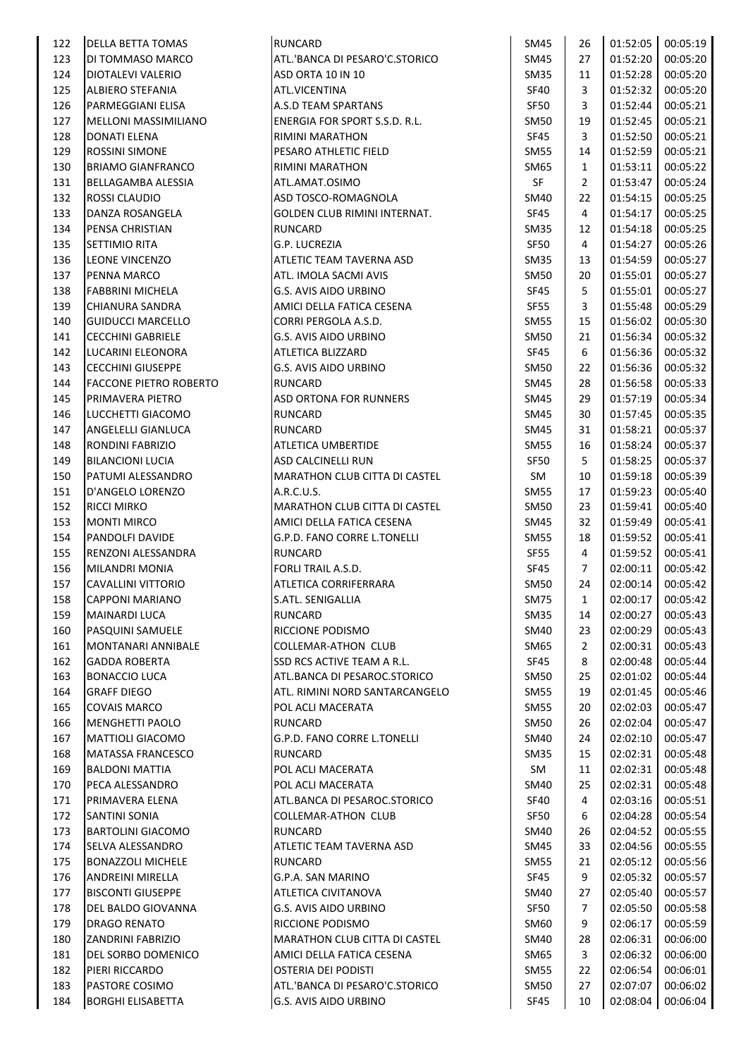| 122 | <b>DELLA BETTA TOMAS</b>             | <b>RUNCARD</b>                       | SM45        | 26             | 01:52:05 | 00:05:19 |
|-----|--------------------------------------|--------------------------------------|-------------|----------------|----------|----------|
| 123 | DI TOMMASO MARCO                     | ATL.'BANCA DI PESARO'C.STORICO       | SM45        | 27             | 01:52:20 | 00:05:20 |
| 124 | DIOTALEVI VALERIO                    | ASD ORTA 10 IN 10                    | <b>SM35</b> | 11             | 01:52:28 | 00:05:20 |
| 125 | ALBIERO STEFANIA                     | <b>ATL.VICENTINA</b>                 | <b>SF40</b> | 3              | 01:52:32 | 00:05:20 |
| 126 | PARMEGGIANI ELISA                    | A.S.D TEAM SPARTANS                  | SF50        | 3              | 01:52:44 | 00:05:21 |
| 127 | MELLONI MASSIMILIANO                 | ENERGIA FOR SPORT S.S.D. R.L.        | <b>SM50</b> | 19             | 01:52:45 | 00:05:21 |
| 128 | DONATI ELENA                         | RIMINI MARATHON                      | <b>SF45</b> | 3              | 01:52:50 | 00:05:21 |
| 129 | <b>ROSSINI SIMONE</b>                | PESARO ATHLETIC FIELD                | <b>SM55</b> | 14             | 01:52:59 | 00:05:21 |
| 130 | <b>BRIAMO GIANFRANCO</b>             | RIMINI MARATHON                      | SM65        | $\mathbf{1}$   | 01:53:11 | 00:05:22 |
| 131 | BELLAGAMBA ALESSIA                   | ATL.AMAT.OSIMO                       | SF          | $\mathbf{2}$   | 01:53:47 | 00:05:24 |
| 132 | <b>ROSSI CLAUDIO</b>                 | ASD TOSCO-ROMAGNOLA                  | SM40        | 22             | 01:54:15 | 00:05:25 |
| 133 | DANZA ROSANGELA                      | GOLDEN CLUB RIMINI INTERNAT.         | SF45        | $\overline{4}$ | 01:54:17 | 00:05:25 |
| 134 | PENSA CHRISTIAN                      | <b>RUNCARD</b>                       | <b>SM35</b> | 12             | 01:54:18 | 00:05:25 |
| 135 | <b>SETTIMIO RITA</b>                 | G.P. LUCREZIA                        | SF50        | $\overline{4}$ | 01:54:27 | 00:05:26 |
| 136 | LEONE VINCENZO                       | ATLETIC TEAM TAVERNA ASD             | <b>SM35</b> | 13             | 01:54:59 | 00:05:27 |
| 137 | PENNA MARCO                          | ATL. IMOLA SACMI AVIS                | <b>SM50</b> | 20             | 01:55:01 | 00:05:27 |
| 138 | FABBRINI MICHELA                     | G.S. AVIS AIDO URBINO                | SF45        | 5              | 01:55:01 | 00:05:27 |
| 139 | CHIANURA SANDRA                      | AMICI DELLA FATICA CESENA            | <b>SF55</b> | 3              | 01:55:48 | 00:05:29 |
| 140 | <b>GUIDUCCI MARCELLO</b>             | CORRI PERGOLA A.S.D.                 | <b>SM55</b> | 15             | 01:56:02 | 00:05:30 |
| 141 | <b>CECCHINI GABRIELE</b>             | G.S. AVIS AIDO URBINO                | <b>SM50</b> | 21             | 01:56:34 | 00:05:32 |
| 142 | LUCARINI ELEONORA                    | <b>ATLETICA BLIZZARD</b>             | SF45        | 6              | 01:56:36 | 00:05:32 |
| 143 | <b>CECCHINI GIUSEPPE</b>             | G.S. AVIS AIDO URBINO                | <b>SM50</b> | 22             | 01:56:36 | 00:05:32 |
| 144 | FACCONE PIETRO ROBERTO               | <b>RUNCARD</b>                       | SM45        | 28             | 01:56:58 | 00:05:33 |
| 145 | PRIMAVERA PIETRO                     | <b>ASD ORTONA FOR RUNNERS</b>        | SM45        | 29             | 01:57:19 | 00:05:34 |
| 146 | LUCCHETTI GIACOMO                    | <b>RUNCARD</b>                       | <b>SM45</b> | 30             | 01:57:45 | 00:05:35 |
| 147 | ANGELELLI GIANLUCA                   | <b>RUNCARD</b>                       | SM45        | 31             | 01:58:21 | 00:05:37 |
| 148 | RONDINI FABRIZIO                     | ATLETICA UMBERTIDE                   | <b>SM55</b> | 16             | 01:58:24 | 00:05:37 |
| 149 | <b>BILANCIONI LUCIA</b>              | <b>ASD CALCINELLI RUN</b>            | <b>SF50</b> | 5              | 01:58:25 | 00:05:37 |
| 150 | PATUMI ALESSANDRO                    | MARATHON CLUB CITTA DI CASTEL        | SM          | 10             | 01:59:18 | 00:05:39 |
| 151 | D'ANGELO LORENZO                     | A.R.C.U.S.                           | SM55        | 17             | 01:59:23 | 00:05:40 |
| 152 | <b>RICCI MIRKO</b>                   | MARATHON CLUB CITTA DI CASTEL        | <b>SM50</b> | 23             | 01:59:41 | 00:05:40 |
| 153 | <b>MONTI MIRCO</b>                   | AMICI DELLA FATICA CESENA            | SM45        | 32             | 01:59:49 | 00:05:41 |
| 154 | PANDOLFI DAVIDE                      | G.P.D. FANO CORRE L.TONELLI          | SM55        | 18             | 01:59:52 | 00:05:41 |
| 155 | <b>RENZONI ALESSANDRA</b>            | <b>RUNCARD</b>                       | SF55        | $\overline{4}$ | 01:59:52 | 00:05:41 |
| 156 | MILANDRI MONIA                       | FORLI TRAIL A.S.D.                   | <b>SF45</b> | $\overline{7}$ | 02:00:11 | 00:05:42 |
| 157 | <b>CAVALLINI VITTORIO</b>            | ATLETICA CORRIFERRARA                | <b>SM50</b> | 24             | 02:00:14 | 00:05:42 |
| 158 | <b>CAPPONI MARIANO</b>               | S.ATL. SENIGALLIA                    | <b>SM75</b> | 1              | 02:00:17 | 00:05:42 |
| 159 | MAINARDI LUCA                        | <b>RUNCARD</b>                       | SM35        | 14             | 02:00:27 | 00:05:43 |
| 160 | <b>PASQUINI SAMUELE</b>              | RICCIONE PODISMO                     | SM40        | 23             | 02:00:29 | 00:05:43 |
| 161 | MONTANARI ANNIBALE                   | <b>COLLEMAR-ATHON CLUB</b>           | SM65        | $\overline{2}$ | 02:00:31 | 00:05:43 |
| 162 | <b>GADDA ROBERTA</b>                 | SSD RCS ACTIVE TEAM A R.L.           | SF45        | 8              | 02:00:48 | 00:05:44 |
| 163 | <b>BONACCIO LUCA</b>                 | ATL.BANCA DI PESAROC.STORICO         | <b>SM50</b> | 25             | 02:01:02 | 00:05:44 |
| 164 | <b>GRAFF DIEGO</b>                   | ATL. RIMINI NORD SANTARCANGELO       | <b>SM55</b> | 19             | 02:01:45 | 00:05:46 |
| 165 | <b>COVAIS MARCO</b>                  | POL ACLI MACERATA                    | <b>SM55</b> | 20             | 02:02:03 | 00:05:47 |
| 166 | MENGHETTI PAOLO                      | RUNCARD                              | <b>SM50</b> | 26             | 02:02:04 | 00:05:47 |
| 167 | <b>MATTIOLI GIACOMO</b>              | G.P.D. FANO CORRE L.TONELLI          | SM40        | 24             | 02:02:10 | 00:05:47 |
| 168 | <b>MATASSA FRANCESCO</b>             | RUNCARD                              | <b>SM35</b> | 15             | 02:02:31 | 00:05:48 |
| 169 | <b>BALDONI MATTIA</b>                | POL ACLI MACERATA                    | SM          | 11             | 02:02:31 | 00:05:48 |
| 170 | PECA ALESSANDRO                      | POL ACLI MACERATA                    | SM40        | 25             | 02:02:31 | 00:05:48 |
| 171 | PRIMAVERA ELENA                      | ATL.BANCA DI PESAROC.STORICO         | SF40        | 4              | 02:03:16 | 00:05:51 |
| 172 | <b>SANTINI SONIA</b>                 | <b>COLLEMAR-ATHON CLUB</b>           | SF50        | 6              | 02:04:28 | 00:05:54 |
| 173 | <b>BARTOLINI GIACOMO</b>             | RUNCARD                              | SM40        | 26             | 02:04:52 | 00:05:55 |
| 174 | SELVA ALESSANDRO                     | ATLETIC TEAM TAVERNA ASD             | SM45        | 33             | 02:04:56 | 00:05:55 |
| 175 | <b>BONAZZOLI MICHELE</b>             | <b>RUNCARD</b>                       | <b>SM55</b> | 21             | 02:05:12 | 00:05:56 |
| 176 | <b>ANDREINI MIRELLA</b>              | G.P.A. SAN MARINO                    | SF45        | 9              | 02:05:32 | 00:05:57 |
| 177 | <b>BISCONTI GIUSEPPE</b>             | ATLETICA CIVITANOVA                  | SM40        | 27             | 02:05:40 | 00:05:57 |
| 178 | DEL BALDO GIOVANNA                   | G.S. AVIS AIDO URBINO                | <b>SF50</b> | $\overline{7}$ | 02:05:50 | 00:05:58 |
| 179 | <b>DRAGO RENATO</b>                  | RICCIONE PODISMO                     | SM60        | 9              | 02:06:17 | 00:05:59 |
| 180 | <b>ZANDRINI FABRIZIO</b>             | <b>MARATHON CLUB CITTA DI CASTEL</b> | SM40        | 28             | 02:06:31 | 00:06:00 |
|     |                                      |                                      |             | 3              |          |          |
| 181 | DEL SORBO DOMENICO<br>PIERI RICCARDO | AMICI DELLA FATICA CESENA            | SM65        |                | 02:06:32 | 00:06:00 |
| 182 |                                      | OSTERIA DEI PODISTI                  | <b>SM55</b> | 22             | 02:06:54 | 00:06:01 |
| 183 | PASTORE COSIMO                       | ATL.'BANCA DI PESARO'C.STORICO       | <b>SM50</b> | 27             | 02:07:07 | 00:06:02 |
| 184 | <b>BORGHI ELISABETTA</b>             | G.S. AVIS AIDO URBINO                | SF45        | 10             | 02:08:04 | 00:06:04 |